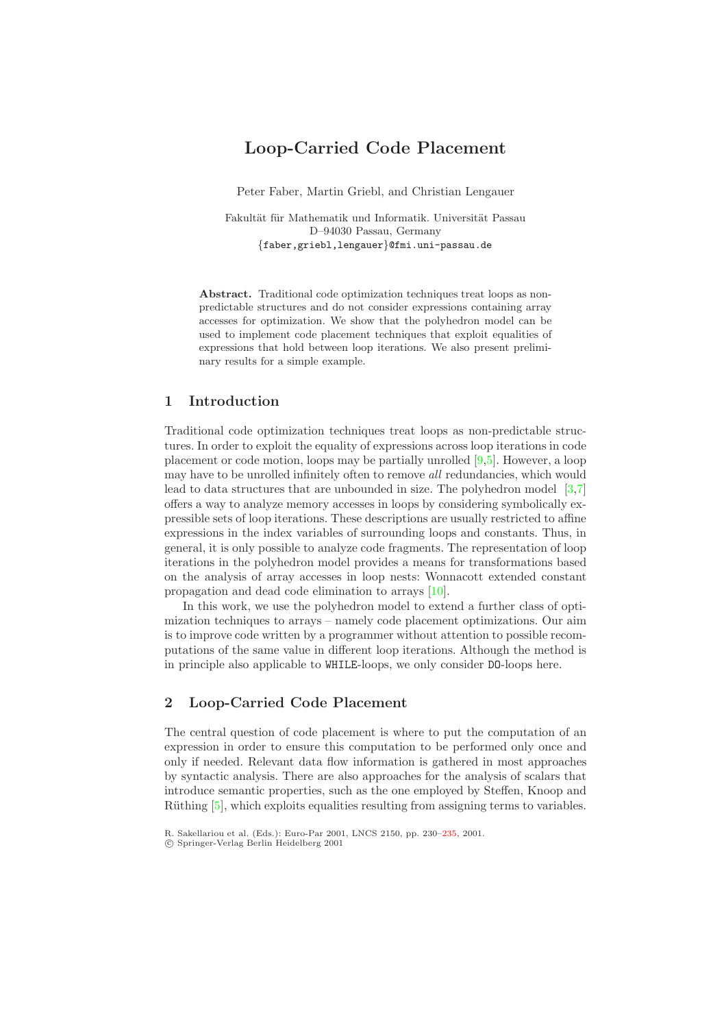# <span id="page-0-1"></span><span id="page-0-0"></span>**Loop-Carried Code Placement**

Peter Faber, Martin Griebl, and Christian Lengauer

Fakultät für Mathematik und Informatik. Universität Passau D–94030 Passau, Germany *{*faber,griebl,lengauer*}*@fmi.uni-passau.de

**Abstract.** Traditional code optimization techniques treat loops as nonpredictable structures and do not consider expressions containing array accesses for optimization. We show that the polyhedron model can be used to implement code placement techniques that exploit equalities of expressions that hold between loop iterations. We also present preliminary results for a simple example.

## **1 Introduction**

Traditional code optimization techniques treat loops as non-predictable structures. In order to exploit the equalityof expressions across loop iterations in code placement or code motion, loops maybe partiallyunrolled [\[9,](#page-4-0)[5\]](#page-4-1). However, a loop mayhave to be unrolled infinitelyoften to remove *all* redundancies, which would lead to data structures that are unbounded in size. The polyhedron model [\[3,](#page-4-2)[7\]](#page-4-3) offers a way to analyze memory accesses in loops by considering symbolically expressible sets of loop iterations. These descriptions are usuallyrestricted to affine expressions in the index variables of surrounding loops and constants. Thus, in general, it is onlypossible to analyze code fragments. The representation of loop iterations in the polyhedron model provides a means for transformations based on the analysis of array accesses in loop nests: Wonnacott extended constant propagation and dead code elimination to arrays [\[10\]](#page-5-0).

In this work, we use the polyhedron model to extend a further class of optimization techniques to arrays – namely code placement optimizations. Our aim is to improve code written bya programmer without attention to possible recomputations of the same value in different loop iterations. Although the method is in principle also applicable to WHILE-loops, we onlyconsider DO-loops here.

### **2 Loop-Carried Code Placement**

The central question of code placement is where to put the computation of an expression in order to ensure this computation to be performed onlyonce and onlyif needed. Relevant data flow information is gathered in most approaches by syntactic analysis. There are also approaches for the analysis of scalars that introduce semantic properties, such as the one employed by Steffen, Knoop and Rüthing  $[5]$ , which exploits equalities resulting from assigning terms to variables.

R. Sakellariou et al. (Eds.): Euro-Par 2001, LNCS 2150, pp. 230[–235,](#page-5-1) 2001.

c Springer-Verlag Berlin Heidelberg 2001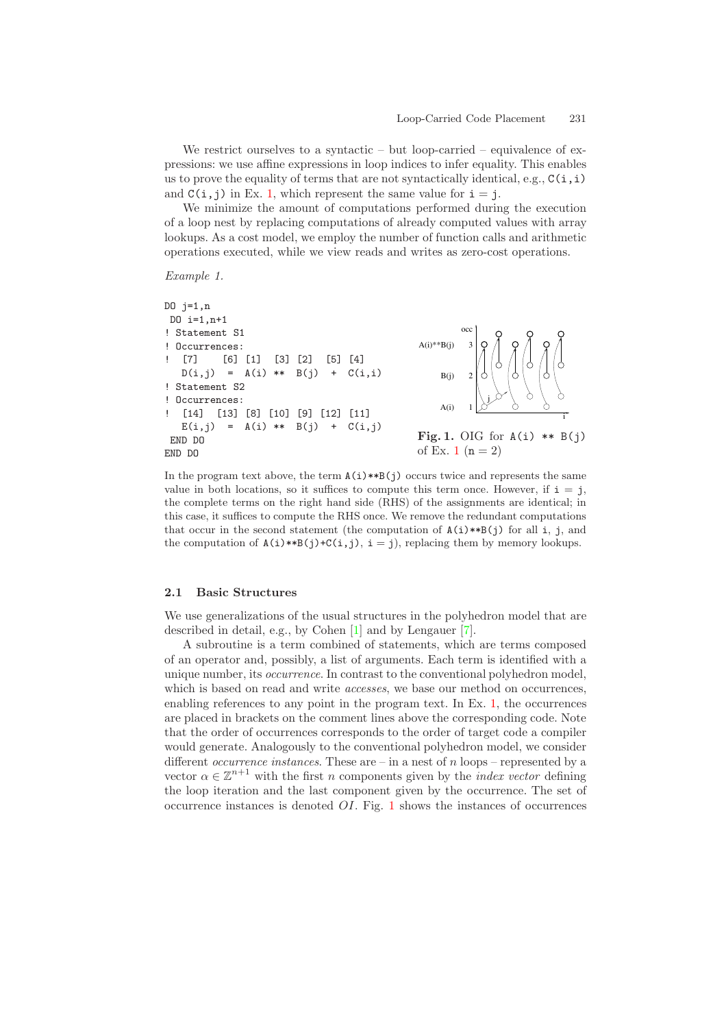<span id="page-1-3"></span>We restrict ourselves to a syntactic – but loop-carried – equivalence of expressions: we use affine expressions in loop indices to infer equality. This enables us to prove the equality of terms that are not syntactically identical, e.g.,  $C(i, i)$ and  $C(i, j)$  in Ex. [1,](#page-1-0) which represent the same value for  $i = j$ .

<span id="page-1-2"></span><span id="page-1-1"></span><span id="page-1-0"></span>We minimize the amount of computations performed during the execution of a loop nest byreplacing computations of alreadycomputed values with array lookups. As a cost model, we employ the number of function calls and arithmetic operations executed, while we view reads and writes as zero-cost operations.

```
Example 1.
```

```
D0 j=1,n
DO i=1,n+1
! Statement S1
! Occurrences:
! [7] [6] [1] [3] [2] [5] [4]
   D(i, j) = A(i) ** B(j) + C(i, i)! Statement S2
! Occurrences:
   ! [14] [13] [8] [10] [9] [12] [11]
   E(i, j) = A(i) ** B(j) + C(i, j)END DO
END DO
                                                                      i
                                                         j
                                                A(i)R(i)A(i)**B(i)occ
                                            Fig. 1. OIG for A(i) ** B(j)1 (n = 2)
```
In the program text above, the term  $A(i)*B(j)$  occurs twice and represents the same value in both locations, so it suffices to compute this term once. However, if  $i = j$ , the complete terms on the right hand side (RHS) of the assignments are identical; in this case, it suffices to compute the RHS once. We remove the redundant computations that occur in the second statement (the computation of  $A(i)*B(j)$  for all i, j, and the computation of  $A(i)*B(j)+C(i,j), i = j$ , replacing them by memory lookups.

#### **2.1 Basic Structures**

We use generalizations of the usual structures in the polyhedron model that are described in detail, e.g., by Cohen [\[1\]](#page-4-4) and by Lengauer [\[7\]](#page-4-5).

A subroutine is a term combined of statements, which are terms composed of an operator and, possibly, a list of arguments. Each term is identified with a unique number, its *occurrence*. In contrast to the conventional polyhedron model, which is based on read and write *accesses*, we base our method on occurrences, enabling references to anypoint in the program text. In Ex. [1,](#page-1-0) the occurrences are placed in brackets on the comment lines above the corresponding code. Note that the order of occurrences corresponds to the order of target code a compiler would generate. Analogouslyto the conventional polyhedron model, we consider different *occurrence instances*. These are – in a nest of n loops – represented bya vector  $\alpha \in \mathbb{Z}^{n+1}$  with the first *n* components given by the *index vector* defining the loop iteration and the last component given by the occurrence. The set of occurrence instances is denoted  $OI.$  Fig. [1](#page-1-1) shows the instances of occurrences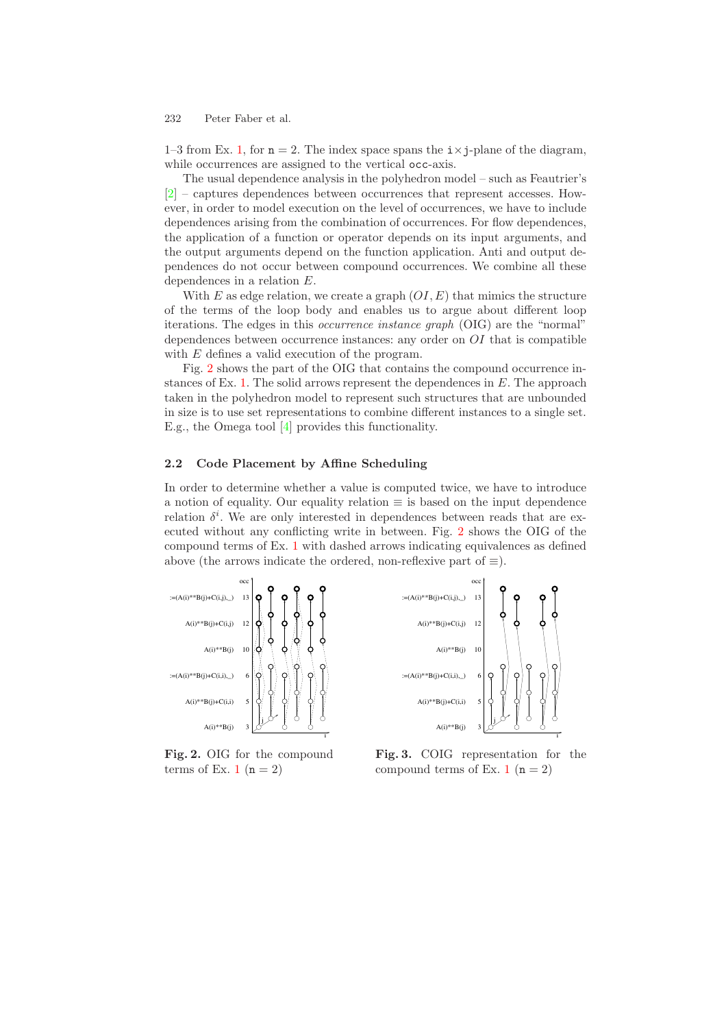<span id="page-2-2"></span>1–3 from Ex. [1,](#page-1-2) for  $n = 2$ . The index space spans the  $i \times j$ -plane of the diagram, while occurrences are assigned to the vertical occ-axis.

The usual dependence analysis in the polyhedron model – such as Feautrier's [\[2\]](#page-4-6) – captures dependences between occurrences that represent accesses. However, in order to model execution on the level of occurrences, we have to include dependences arising from the combination of occurrences. For flow dependences, the application of a function or operator depends on its input arguments, and the output arguments depend on the function application. Anti and output dependences do not occur between compound occurrences. We combine all these dependences in a relation E.

With  $E$  as edge relation, we create a graph  $(OI, E)$  that mimics the structure of the terms of the loop bodyand enables us to argue about different loop iterations. The edges in this *occurrence instance graph* (OIG) are the "normal" dependences between occurrence instances: anyorder on OI that is compatible with E defines a valid execution of the program.

Fig. [2](#page-2-0) shows the part of the OIG that contains the compound occurrence in-stances of Ex. [1.](#page-1-2) The solid arrows represent the dependences in  $E$ . The approach taken in the polyhedron model to represent such structures that are unbounded in size is to use set representations to combine different instances to a single set. E.g., the Omega tool [\[4\]](#page-4-7) provides this functionality.

#### **2.2 Code Placement by Affine Scheduling**

<span id="page-2-1"></span><span id="page-2-0"></span>In order to determine whether a value is computed twice, we have to introduce a notion of equality. Our equality relation  $\equiv$  is based on the input dependence relation  $\delta^i$ . We are only interested in dependences between reads that are executed without anyconflicting write in between. Fig. [2](#page-2-0) shows the OIG of the compound terms of Ex. [1](#page-1-2) with dashed arrows indicating equivalences as defined above (the arrows indicate the ordered, non-reflexive part of  $\equiv$ ).



**Fig. 2.** OIG for the compound terms of Ex. [1](#page-1-2)  $(n = 2)$ 

**Fig. 3.** COIG representation for the compound terms of Ex. [1](#page-1-2) ( $n = 2$ )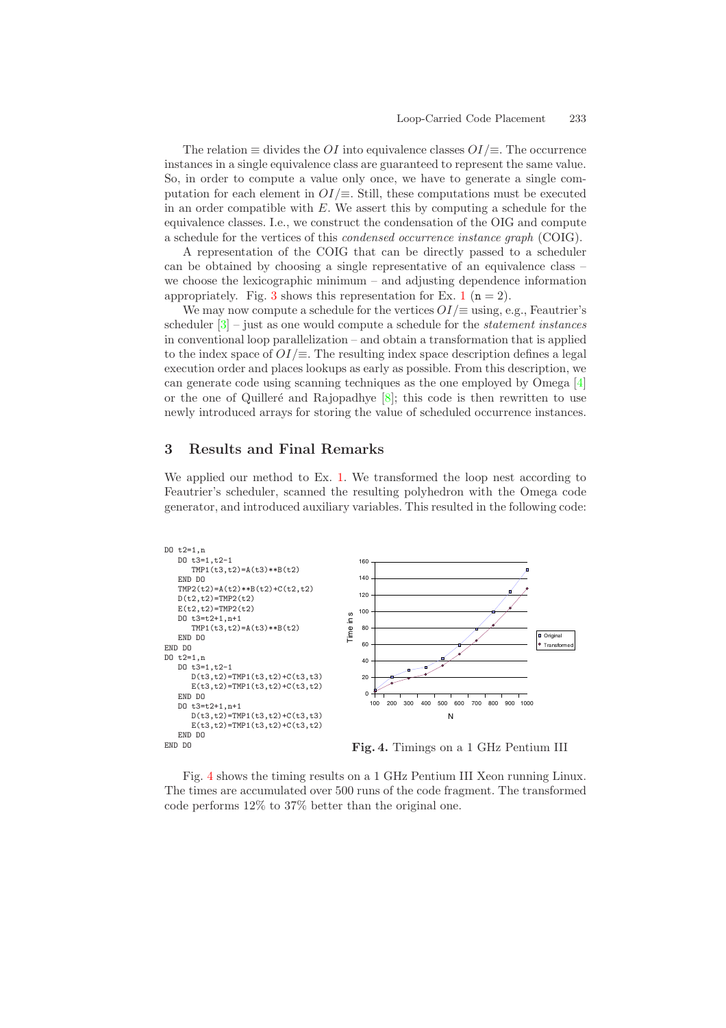<span id="page-3-1"></span>The relation  $\equiv$  divides the OI into equivalence classes  $OI/\equiv$ . The occurrence instances in a single equivalence class are guaranteed to represent the same value. So, in order to compute a value onlyonce, we have to generate a single computation for each element in  $OI/$ ≡. Still, these computations must be executed in an order compatible with  $E$ . We assert this by computing a schedule for the equivalence classes. I.e., we construct the condensation of the OIG and compute a schedule for the vertices of this *condensed occurrence instance graph* (COIG).

A representation of the COIG that can be directlypassed to a scheduler can be obtained by choosing a single representative of an equivalence class  $$ we choose the lexicographic minimum – and adjusting dependence information appropriately. Fig. [3](#page-2-1) shows this representation for Ex. [1](#page-1-0) ( $n = 2$ ).

We may now compute a schedule for the vertices  $OI/≡$  using, e.g., Feautrier's scheduler [\[3\]](#page-4-8) – just as one would compute a schedule for the *statement instances* in conventional loop parallelization – and obtain a transformation that is applied to the index space of  $OI/\equiv$ . The resulting index space description defines a legal execution order and places lookups as earlyas possible. From this description, we can generate code using scanning techniques as the one employed by Omega [\[4\]](#page-4-9) or the one of Quilleré and Rajopadhye  $[8]$ ; this code is then rewritten to use newlyintroduced arrays for storing the value of scheduled occurrence instances.

## **3 Results and Final Remarks**

<span id="page-3-0"></span>We applied our method to Ex. [1.](#page-1-0) We transformed the loop nest according to Feautrier's scheduler, scanned the resulting polyhedron with the Omega code generator, and introduced auxiliary variables. This resulted in the following code:



**Fig. 4.** Timings on a 1 GHz Pentium III

Fig. [4](#page-3-0) shows the timing results on a 1 GHz Pentium III Xeon running Linux. The times are accumulated over 500 runs of the code fragment. The transformed code performs 12% to 37% better than the original one.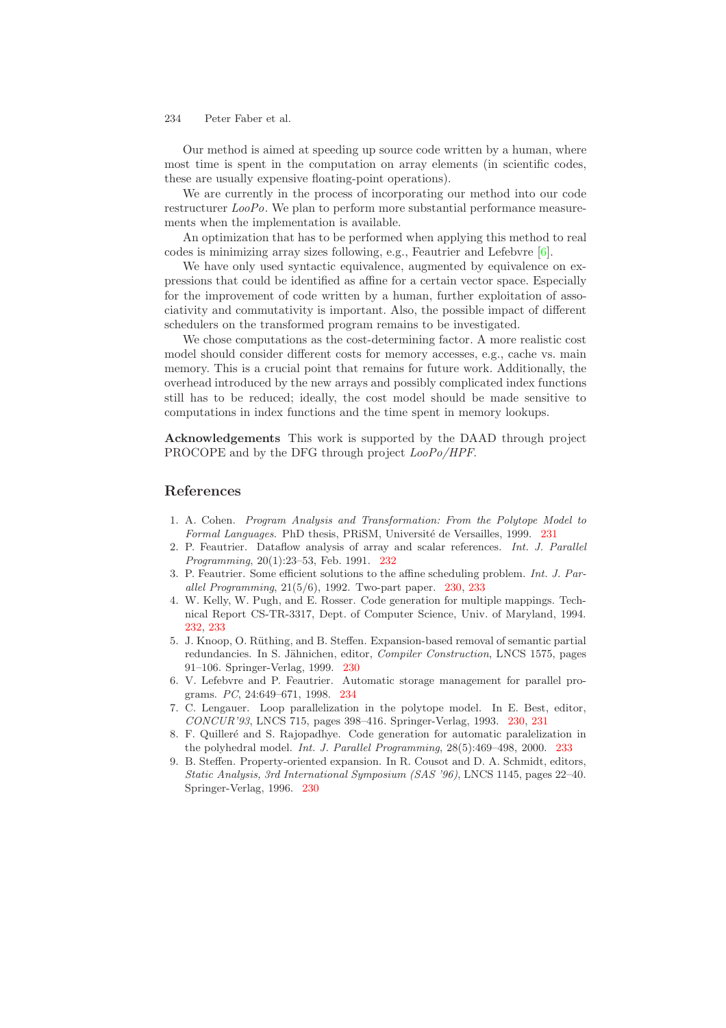<span id="page-4-12"></span>Our method is aimed at speeding up source code written bya human, where most time is spent in the computation on array elements (in scientific codes, these are usually expensive floating-point operations).

We are currently in the process of incorporating our method into our code restructurer *LooPo*. We plan to perform more substantial performance measurements when the implementation is available.

An optimization that has to be performed when applying this method to real codes is minimizing arraysizes following, e.g., Feautrier and Lefebvre [\[6\]](#page-4-11).

We have only used syntactic equivalence, augmented by equivalence on expressions that could be identified as affine for a certain vector space. Especially for the improvement of code written bya human, further exploitation of associativityand commutativityis important. Also, the possible impact of different schedulers on the transformed program remains to be investigated.

We chose computations as the cost-determining factor. A more realistic cost model should consider different costs for memoryaccesses, e.g., cache vs. main memory. This is a crucial point that remains for future work. Additionally, the overhead introduced bythe new arrays and possiblycomplicated index functions still has to be reduced; ideally, the cost model should be made sensitive to computations in index functions and the time spent in memorylookups.

Acknowledgements This work is supported by the DAAD through project PROCOPE and by the DFG through project  $Loop O/HPF$ .

## <span id="page-4-6"></span><span id="page-4-4"></span>**References**

- 1. A. Cohen. *Program Analysis and Transformation: From the Polytope Model to Formal Languages*. PhD thesis, PRiSM, Université de Versailles, 1999. [231](#page-1-3)
- <span id="page-4-8"></span><span id="page-4-2"></span>2. P. Feautrier. Dataflow analysis of array and scalar references. *Int. J. Parallel Programming*, 20(1):23–53, Feb. 1991. [232](#page-2-2)
- <span id="page-4-9"></span><span id="page-4-7"></span>3. P. Feautrier. Some efficient solutions to the affine scheduling problem. *Int. J. Parallel Programming*, 21(5/6), 1992. Two-part paper. [230,](#page-0-0) [233](#page-3-1)
- <span id="page-4-1"></span>4. W. Kelly, W. Pugh, and E. Rosser. Code generation for multiple mappings. Technical Report CS-TR-3317, Dept. of Computer Science, Univ. of Maryland, 1994. [232,](#page-2-2) [233](#page-3-1)
- <span id="page-4-11"></span>5. J. Knoop, O. Rüthing, and B. Steffen. Expansion-based removal of semantic partial redundancies. In S. Jähnichen, editor, *Compiler Construction*, LNCS 1575, pages 91–106. Springer-Verlag, 1999. [230](#page-0-0)
- <span id="page-4-5"></span><span id="page-4-3"></span>6. V. Lefebvre and P. Feautrier. Automatic storage management for parallel programs. *PC*, 24:649–671, 1998. [234](#page-4-12)
- <span id="page-4-10"></span>7. C. Lengauer. Loop parallelization in the polytope model. In E. Best, editor, *CONCUR'93*, LNCS 715, pages 398–416. Springer-Verlag, 1993. [230,](#page-0-0) [231](#page-1-3)
- <span id="page-4-0"></span>8. F. Quilleré and S. Rajopadhye. Code generation for automatic paralelization in the polyhedral model. *Int. J. Parallel Programming*, 28(5):469–498, 2000. [233](#page-3-1)
- 9. B. Steffen. Property-oriented expansion. In R. Cousot and D. A. Schmidt, editors, *Static Analysis, 3rd International Symposium (SAS '96)*, LNCS 1145, pages 22–40. Springer-Verlag, 1996. [230](#page-0-0)